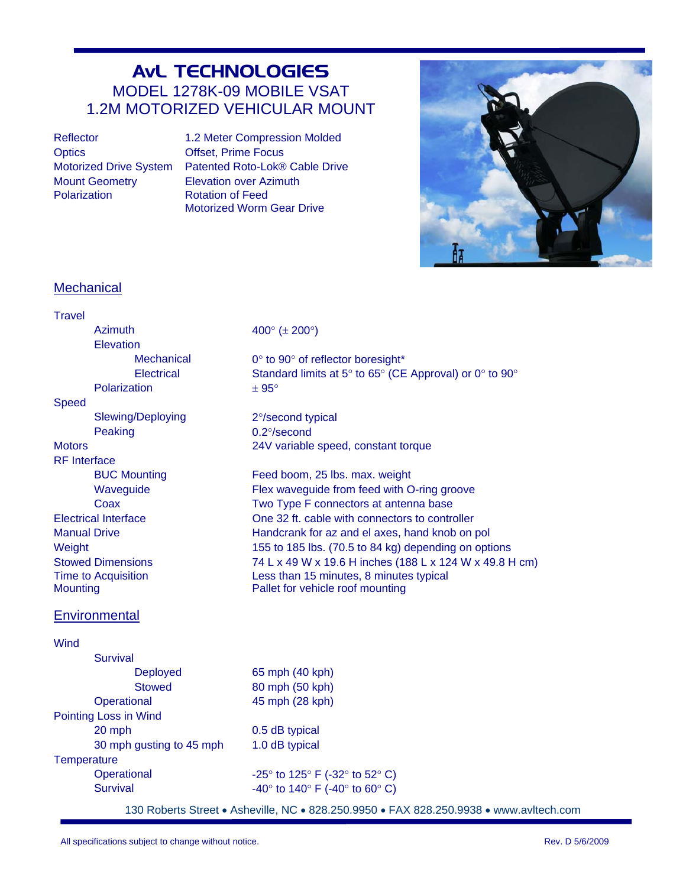# AvL TECHNOLOGIES MODEL 1278K-09 MOBILE VSAT 1.2M MOTORIZED VEHICULAR MOUNT

Optics **Offset, Prime Focus** Mount Geometry **Elevation over Azimuth** Polarization **Rotation CE** Rotation of Feed

Reflector 1.2 Meter Compression Molded Motorized Drive System Patented Roto-Lok® Cable Drive Motorized Worm Gear Drive



## **Mechanical**

| <b>Travel</b>                                 |                          |                                                                                                                 |
|-----------------------------------------------|--------------------------|-----------------------------------------------------------------------------------------------------------------|
|                                               | Azimuth                  | 400 $^{\circ}$ ( $\pm$ 200 $^{\circ}$ )                                                                         |
|                                               | Elevation                |                                                                                                                 |
|                                               | <b>Mechanical</b>        | 0° to 90° of reflector boresight*                                                                               |
|                                               | Electrical               | Standard limits at 5° to 65° (CE Approval) or 0° to 90°                                                         |
|                                               | Polarization             | $± 95^{\circ}$                                                                                                  |
| <b>Speed</b>                                  |                          |                                                                                                                 |
|                                               | <b>Slewing/Deploying</b> | 2°/second typical                                                                                               |
|                                               | Peaking                  | $0.2^{\circ}/\text{second}$                                                                                     |
| <b>Motors</b>                                 |                          | 24V variable speed, constant torque                                                                             |
| <b>RF</b> Interface                           |                          |                                                                                                                 |
|                                               | <b>BUC Mounting</b>      | Feed boom, 25 lbs. max. weight                                                                                  |
|                                               | Waveguide                | Flex waveguide from feed with O-ring groove                                                                     |
|                                               | Coax                     | Two Type F connectors at antenna base                                                                           |
| <b>Electrical Interface</b>                   |                          | One 32 ft. cable with connectors to controller                                                                  |
| <b>Manual Drive</b>                           |                          | Handcrank for az and el axes, hand knob on pol                                                                  |
| Weight                                        |                          | 155 to 185 lbs. (70.5 to 84 kg) depending on options<br>74 L x 49 W x 19.6 H inches (188 L x 124 W x 49.8 H cm) |
| <b>Stowed Dimensions</b>                      |                          | Less than 15 minutes, 8 minutes typical                                                                         |
| <b>Time to Acquisition</b><br><b>Mounting</b> |                          | Pallet for vehicle roof mounting                                                                                |
|                                               |                          |                                                                                                                 |
|                                               | Environmental            |                                                                                                                 |
| Wind                                          |                          |                                                                                                                 |
|                                               | Survival                 |                                                                                                                 |
|                                               | <b>Deployed</b>          | 65 mph (40 kph)                                                                                                 |
|                                               | <b>Stowed</b>            | 80 mph (50 kph)                                                                                                 |
|                                               | Operational              | 45 mph (28 kph)                                                                                                 |
|                                               | Pointing Loss in Wind    |                                                                                                                 |
|                                               | 20 mph                   | 0.5 dB typical                                                                                                  |
|                                               | 30 mph gusting to 45 mph | 1.0 dB typical                                                                                                  |
| Temperature                                   |                          |                                                                                                                 |
|                                               | Operational              | -25 $\degree$ to 125 $\degree$ F (-32 $\degree$ to 52 $\degree$ C)                                              |
|                                               | <b>Survival</b>          | -40 $\degree$ to 140 $\degree$ F (-40 $\degree$ to 60 $\degree$ C)                                              |
|                                               |                          |                                                                                                                 |

130 Roberts Street Asheville, NC 828.250.9950 FAX 828.250.9938 www.avltech.com